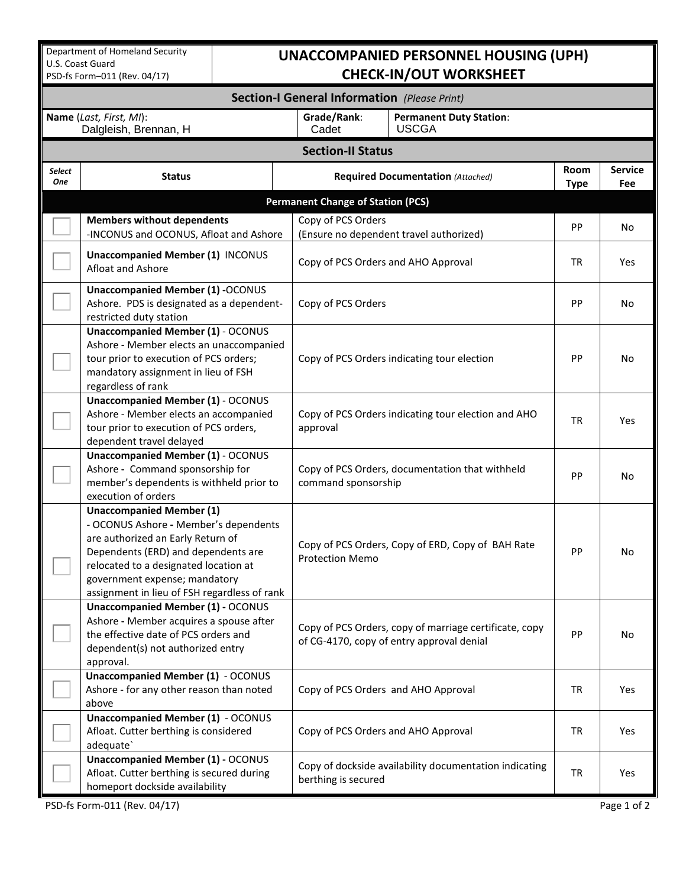Department of Homeland Security U.S. Coast Guard PSD-fs Form–011 (Rev. 04/17)

## **UNACCOMPANIED PERSONNEL HOUSING (UPH) CHECK-IN/OUT WORKSHEET**

| <b>Section-I General Information</b> (Please Print) |                                                                                                                                                                                                                                                                                |                                                                                                     |                                                |                     |                       |  |  |  |  |  |  |  |
|-----------------------------------------------------|--------------------------------------------------------------------------------------------------------------------------------------------------------------------------------------------------------------------------------------------------------------------------------|-----------------------------------------------------------------------------------------------------|------------------------------------------------|---------------------|-----------------------|--|--|--|--|--|--|--|
|                                                     | Name (Last, First, MI):<br>Dalgleish, Brennan, H                                                                                                                                                                                                                               | Grade/Rank:<br>Cadet                                                                                | <b>Permanent Duty Station:</b><br><b>USCGA</b> |                     |                       |  |  |  |  |  |  |  |
| <b>Section-II Status</b>                            |                                                                                                                                                                                                                                                                                |                                                                                                     |                                                |                     |                       |  |  |  |  |  |  |  |
| <b>Select</b><br><b>One</b>                         | <b>Status</b>                                                                                                                                                                                                                                                                  |                                                                                                     | <b>Required Documentation (Attached)</b>       | Room<br><b>Type</b> | <b>Service</b><br>Fee |  |  |  |  |  |  |  |
| <b>Permanent Change of Station (PCS)</b>            |                                                                                                                                                                                                                                                                                |                                                                                                     |                                                |                     |                       |  |  |  |  |  |  |  |
|                                                     | <b>Members without dependents</b><br>-INCONUS and OCONUS, Afloat and Ashore                                                                                                                                                                                                    | Copy of PCS Orders<br>(Ensure no dependent travel authorized)                                       |                                                |                     | No                    |  |  |  |  |  |  |  |
|                                                     | <b>Unaccompanied Member (1) INCONUS</b><br>Afloat and Ashore                                                                                                                                                                                                                   | Copy of PCS Orders and AHO Approval                                                                 | <b>TR</b>                                      | Yes                 |                       |  |  |  |  |  |  |  |
|                                                     | <b>Unaccompanied Member (1) -OCONUS</b><br>Ashore. PDS is designated as a dependent-<br>restricted duty station                                                                                                                                                                | Copy of PCS Orders                                                                                  |                                                | PP                  | <b>No</b>             |  |  |  |  |  |  |  |
|                                                     | <b>Unaccompanied Member (1) - OCONUS</b><br>Ashore - Member elects an unaccompanied<br>tour prior to execution of PCS orders;<br>mandatory assignment in lieu of FSH<br>regardless of rank                                                                                     | Copy of PCS Orders indicating tour election                                                         |                                                | PP                  | No                    |  |  |  |  |  |  |  |
|                                                     | <b>Unaccompanied Member (1) - OCONUS</b><br>Ashore - Member elects an accompanied<br>Copy of PCS Orders indicating tour election and AHO<br>tour prior to execution of PCS orders,<br>approval<br>dependent travel delayed                                                     |                                                                                                     |                                                |                     | <b>Yes</b>            |  |  |  |  |  |  |  |
|                                                     | <b>Unaccompanied Member (1) - OCONUS</b><br>Ashore - Command sponsorship for<br>member's dependents is withheld prior to<br>execution of orders                                                                                                                                | Copy of PCS Orders, documentation that withheld<br>command sponsorship                              |                                                |                     | No                    |  |  |  |  |  |  |  |
|                                                     | <b>Unaccompanied Member (1)</b><br>- OCONUS Ashore - Member's dependents<br>are authorized an Early Return of<br>Dependents (ERD) and dependents are<br>relocated to a designated location at<br>government expense; mandatory<br>assignment in lieu of FSH regardless of rank | Copy of PCS Orders, Copy of ERD, Copy of BAH Rate<br><b>Protection Memo</b>                         |                                                |                     | No                    |  |  |  |  |  |  |  |
|                                                     | <b>Unaccompanied Member (1) - OCONUS</b><br>Ashore - Member acquires a spouse after<br>the effective date of PCS orders and<br>dependent(s) not authorized entry<br>approval.                                                                                                  | Copy of PCS Orders, copy of marriage certificate, copy<br>of CG-4170, copy of entry approval denial |                                                |                     | No                    |  |  |  |  |  |  |  |
|                                                     | <b>Unaccompanied Member (1) - OCONUS</b><br>Ashore - for any other reason than noted<br>above                                                                                                                                                                                  | Copy of PCS Orders and AHO Approval                                                                 |                                                |                     |                       |  |  |  |  |  |  |  |
|                                                     | <b>Unaccompanied Member (1) - OCONUS</b><br>Afloat. Cutter berthing is considered<br>adequate'                                                                                                                                                                                 | Copy of PCS Orders and AHO Approval                                                                 |                                                |                     | Yes                   |  |  |  |  |  |  |  |
|                                                     | <b>Unaccompanied Member (1) - OCONUS</b><br>Afloat. Cutter berthing is secured during<br>homeport dockside availability                                                                                                                                                        | Copy of dockside availability documentation indicating<br>berthing is secured                       |                                                |                     | Yes                   |  |  |  |  |  |  |  |

PSD-fs Form-011 (Rev. 04/17) Page 1 of 2